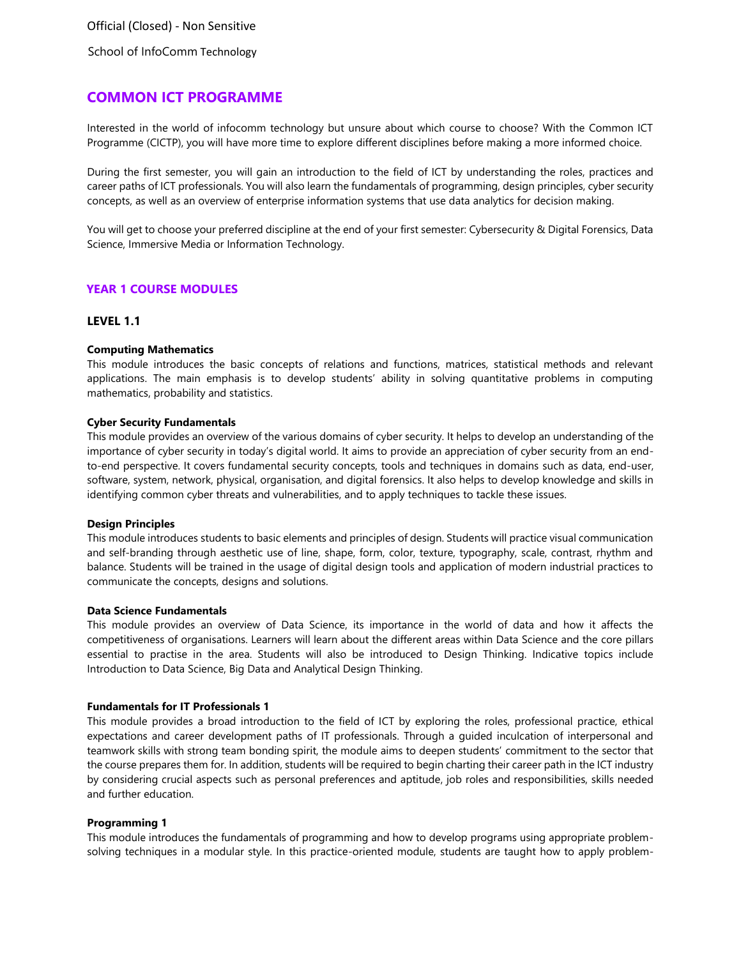Official (Closed) - Non Sensitive

School of InfoComm Technology

# **COMMON ICT PROGRAMME**

Interested in the world of infocomm technology but unsure about which course to choose? With the Common ICT Programme (CICTP), you will have more time to explore different disciplines before making a more informed choice.

During the first semester, you will gain an introduction to the field of ICT by understanding the roles, practices and career paths of ICT professionals. You will also learn the fundamentals of programming, design principles, cyber security concepts, as well as an overview of enterprise information systems that use data analytics for decision making.

You will get to choose your preferred discipline at the end of your first semester: Cybersecurity & Digital Forensics, Data Science, Immersive Media or Information Technology.

### **YEAR 1 COURSE MODULES**

## **LEVEL 1.1**

### **Computing Mathematics**

This module introduces the basic concepts of relations and functions, matrices, statistical methods and relevant applications. The main emphasis is to develop students' ability in solving quantitative problems in computing mathematics, probability and statistics.

### **Cyber Security Fundamentals**

This module provides an overview of the various domains of cyber security. It helps to develop an understanding of the importance of cyber security in today's digital world. It aims to provide an appreciation of cyber security from an endto-end perspective. It covers fundamental security concepts, tools and techniques in domains such as data, end-user, software, system, network, physical, organisation, and digital forensics. It also helps to develop knowledge and skills in identifying common cyber threats and vulnerabilities, and to apply techniques to tackle these issues.

#### **Design Principles**

This module introduces students to basic elements and principles of design. Students will practice visual communication and self-branding through aesthetic use of line, shape, form, color, texture, typography, scale, contrast, rhythm and balance. Students will be trained in the usage of digital design tools and application of modern industrial practices to communicate the concepts, designs and solutions.

#### **Data Science Fundamentals**

This module provides an overview of Data Science, its importance in the world of data and how it affects the competitiveness of organisations. Learners will learn about the different areas within Data Science and the core pillars essential to practise in the area. Students will also be introduced to Design Thinking. Indicative topics include Introduction to Data Science, Big Data and Analytical Design Thinking.

#### **Fundamentals for IT Professionals 1**

This module provides a broad introduction to the field of ICT by exploring the roles, professional practice, ethical expectations and career development paths of IT professionals. Through a guided inculcation of interpersonal and teamwork skills with strong team bonding spirit, the module aims to deepen students' commitment to the sector that the course prepares them for. In addition, students will be required to begin charting their career path in the ICT industry by considering crucial aspects such as personal preferences and aptitude, job roles and responsibilities, skills needed and further education.

#### **Programming 1**

This module introduces the fundamentals of programming and how to develop programs using appropriate problemsolving techniques in a modular style. In this practice-oriented module, students are taught how to apply problem